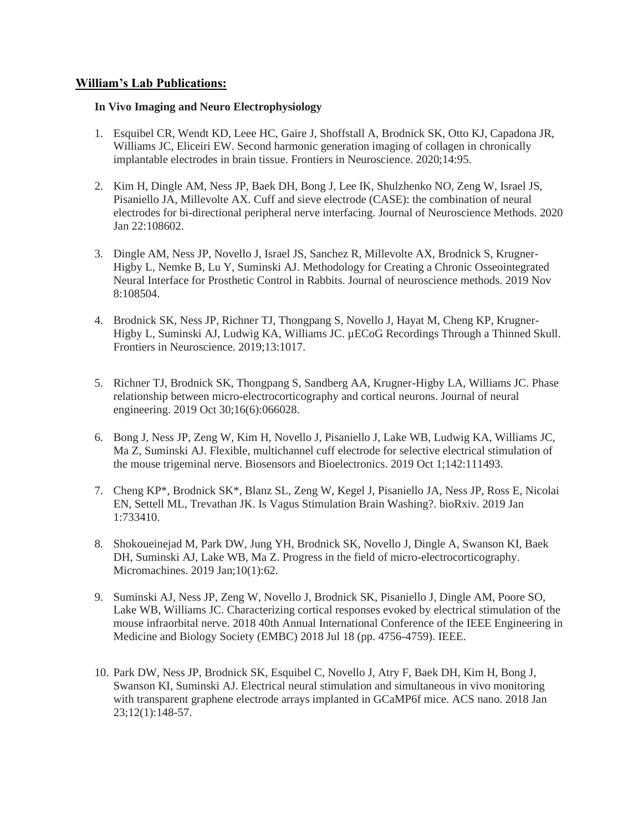## **William's Lab Publications:**

## **In Vivo Imaging and Neuro Electrophysiology**

- 1. Esquibel CR, Wendt KD, Leee HC, Gaire J, Shoffstall A, Brodnick SK, Otto KJ, Capadona JR, Williams JC, Eliceiri EW. Second harmonic generation imaging of collagen in chronically implantable electrodes in brain tissue. Frontiers in Neuroscience. 2020;14:95.
- 2. Kim H, Dingle AM, Ness JP, Baek DH, Bong J, Lee IK, Shulzhenko NO, Zeng W, Israel JS, Pisaniello JA, Millevolte AX. Cuff and sieve electrode (CASE): the combination of neural electrodes for bi-directional peripheral nerve interfacing. Journal of Neuroscience Methods. 2020 Jan 22:108602.
- 3. Dingle AM, Ness JP, Novello J, Israel JS, Sanchez R, Millevolte AX, Brodnick S, Krugner-Higby L, Nemke B, Lu Y, Suminski AJ. Methodology for Creating a Chronic Osseointegrated Neural Interface for Prosthetic Control in Rabbits. Journal of neuroscience methods. 2019 Nov 8:108504.
- 4. Brodnick SK, Ness JP, Richner TJ, Thongpang S, Novello J, Hayat M, Cheng KP, Krugner-Higby L, Suminski AJ, Ludwig KA, Williams JC. µECoG Recordings Through a Thinned Skull. Frontiers in Neuroscience. 2019;13:1017.
- 5. Richner TJ, Brodnick SK, Thongpang S, Sandberg AA, Krugner-Higby LA, Williams JC. Phase relationship between micro-electrocorticography and cortical neurons. Journal of neural engineering. 2019 Oct 30;16(6):066028.
- 6. Bong J, Ness JP, Zeng W, Kim H, Novello J, Pisaniello J, Lake WB, Ludwig KA, Williams JC, Ma Z, Suminski AJ. Flexible, multichannel cuff electrode for selective electrical stimulation of the mouse trigeminal nerve. Biosensors and Bioelectronics. 2019 Oct 1;142:111493.
- 7. Cheng KP\*, Brodnick SK\*, Blanz SL, Zeng W, Kegel J, Pisaniello JA, Ness JP, Ross E, Nicolai EN, Settell ML, Trevathan JK. Is Vagus Stimulation Brain Washing?. bioRxiv. 2019 Jan 1:733410.
- 8. Shokoueinejad M, Park DW, Jung YH, Brodnick SK, Novello J, Dingle A, Swanson KI, Baek DH, Suminski AJ, Lake WB, Ma Z. Progress in the field of micro-electrocorticography. Micromachines. 2019 Jan;10(1):62.
- 9. Suminski AJ, Ness JP, Zeng W, Novello J, Brodnick SK, Pisaniello J, Dingle AM, Poore SO, Lake WB, Williams JC. Characterizing cortical responses evoked by electrical stimulation of the mouse infraorbital nerve. 2018 40th Annual International Conference of the IEEE Engineering in Medicine and Biology Society (EMBC) 2018 Jul 18 (pp. 4756-4759). IEEE.
- 10. Park DW, Ness JP, Brodnick SK, Esquibel C, Novello J, Atry F, Baek DH, Kim H, Bong J, Swanson KI, Suminski AJ. Electrical neural stimulation and simultaneous in vivo monitoring with transparent graphene electrode arrays implanted in GCaMP6f mice. ACS nano. 2018 Jan 23;12(1):148-57.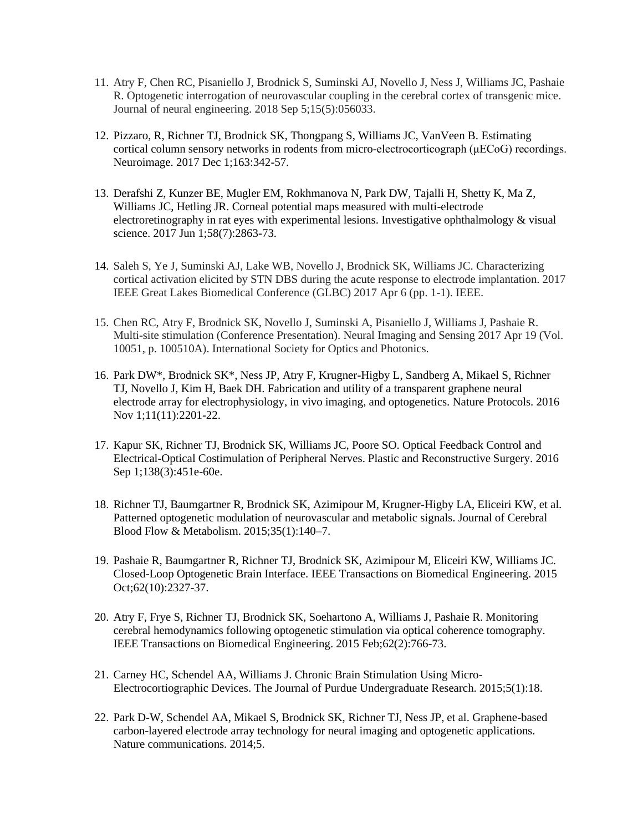- 11. Atry F, Chen RC, Pisaniello J, Brodnick S, Suminski AJ, Novello J, Ness J, Williams JC, Pashaie R. Optogenetic interrogation of neurovascular coupling in the cerebral cortex of transgenic mice. Journal of neural engineering. 2018 Sep 5;15(5):056033.
- 12. Pizzaro, R, Richner TJ, Brodnick SK, Thongpang S, Williams JC, VanVeen B. Estimating cortical column sensory networks in rodents from micro-electrocorticograph (μECoG) recordings. Neuroimage. 2017 Dec 1;163:342-57.
- 13. Derafshi Z, Kunzer BE, Mugler EM, Rokhmanova N, Park DW, Tajalli H, Shetty K, Ma Z, Williams JC, Hetling JR. Corneal potential maps measured with multi-electrode electroretinography in rat eyes with experimental lesions. Investigative ophthalmology & visual science. 2017 Jun 1;58(7):2863-73.
- 14. Saleh S, Ye J, Suminski AJ, Lake WB, Novello J, Brodnick SK, Williams JC. Characterizing cortical activation elicited by STN DBS during the acute response to electrode implantation. 2017 IEEE Great Lakes Biomedical Conference (GLBC) 2017 Apr 6 (pp. 1-1). IEEE.
- 15. Chen RC, Atry F, Brodnick SK, Novello J, Suminski A, Pisaniello J, Williams J, Pashaie R. Multi-site stimulation (Conference Presentation). Neural Imaging and Sensing 2017 Apr 19 (Vol. 10051, p. 100510A). International Society for Optics and Photonics.
- 16. Park DW\*, Brodnick SK\*, Ness JP, Atry F, Krugner-Higby L, Sandberg A, Mikael S, Richner TJ, Novello J, Kim H, Baek DH. Fabrication and utility of a transparent graphene neural electrode array for electrophysiology, in vivo imaging, and optogenetics. Nature Protocols. 2016 Nov 1;11(11):2201-22.
- 17. Kapur SK, Richner TJ, Brodnick SK, Williams JC, Poore SO. Optical Feedback Control and Electrical-Optical Costimulation of Peripheral Nerves. Plastic and Reconstructive Surgery. 2016 Sep 1;138(3):451e-60e.
- 18. Richner TJ, Baumgartner R, Brodnick SK, Azimipour M, Krugner-Higby LA, Eliceiri KW, et al. Patterned optogenetic modulation of neurovascular and metabolic signals. Journal of Cerebral Blood Flow & Metabolism. 2015;35(1):140–7.
- 19. Pashaie R, Baumgartner R, Richner TJ, Brodnick SK, Azimipour M, Eliceiri KW, Williams JC. Closed-Loop Optogenetic Brain Interface. IEEE Transactions on Biomedical Engineering. 2015 Oct;62(10):2327-37.
- 20. Atry F, Frye S, Richner TJ, Brodnick SK, Soehartono A, Williams J, Pashaie R. Monitoring cerebral hemodynamics following optogenetic stimulation via optical coherence tomography. IEEE Transactions on Biomedical Engineering. 2015 Feb;62(2):766-73.
- 21. Carney HC, Schendel AA, Williams J. Chronic Brain Stimulation Using Micro-Electrocortiographic Devices. The Journal of Purdue Undergraduate Research. 2015;5(1):18.
- 22. Park D-W, Schendel AA, Mikael S, Brodnick SK, Richner TJ, Ness JP, et al. Graphene-based carbon-layered electrode array technology for neural imaging and optogenetic applications. Nature communications. 2014;5.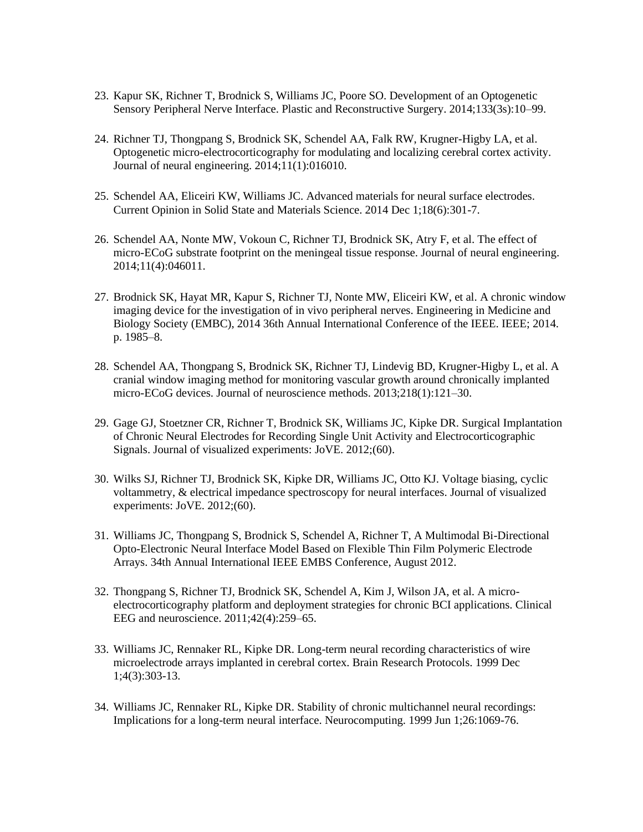- 23. Kapur SK, Richner T, Brodnick S, Williams JC, Poore SO. Development of an Optogenetic Sensory Peripheral Nerve Interface. Plastic and Reconstructive Surgery. 2014;133(3s):10–99.
- 24. Richner TJ, Thongpang S, Brodnick SK, Schendel AA, Falk RW, Krugner-Higby LA, et al. Optogenetic micro-electrocorticography for modulating and localizing cerebral cortex activity. Journal of neural engineering. 2014;11(1):016010.
- 25. Schendel AA, Eliceiri KW, Williams JC. Advanced materials for neural surface electrodes. Current Opinion in Solid State and Materials Science. 2014 Dec 1;18(6):301-7.
- 26. Schendel AA, Nonte MW, Vokoun C, Richner TJ, Brodnick SK, Atry F, et al. The effect of micro-ECoG substrate footprint on the meningeal tissue response. Journal of neural engineering. 2014;11(4):046011.
- 27. Brodnick SK, Hayat MR, Kapur S, Richner TJ, Nonte MW, Eliceiri KW, et al. A chronic window imaging device for the investigation of in vivo peripheral nerves. Engineering in Medicine and Biology Society (EMBC), 2014 36th Annual International Conference of the IEEE. IEEE; 2014. p. 1985–8.
- 28. Schendel AA, Thongpang S, Brodnick SK, Richner TJ, Lindevig BD, Krugner-Higby L, et al. A cranial window imaging method for monitoring vascular growth around chronically implanted micro-ECoG devices. Journal of neuroscience methods. 2013;218(1):121–30.
- 29. Gage GJ, Stoetzner CR, Richner T, Brodnick SK, Williams JC, Kipke DR. Surgical Implantation of Chronic Neural Electrodes for Recording Single Unit Activity and Electrocorticographic Signals. Journal of visualized experiments: JoVE. 2012;(60).
- 30. Wilks SJ, Richner TJ, Brodnick SK, Kipke DR, Williams JC, Otto KJ. Voltage biasing, cyclic voltammetry, & electrical impedance spectroscopy for neural interfaces. Journal of visualized experiments: JoVE. 2012;(60).
- 31. Williams JC, Thongpang S, Brodnick S, Schendel A, Richner T, A Multimodal Bi-Directional Opto-Electronic Neural Interface Model Based on Flexible Thin Film Polymeric Electrode Arrays. 34th Annual International IEEE EMBS Conference, August 2012.
- 32. Thongpang S, Richner TJ, Brodnick SK, Schendel A, Kim J, Wilson JA, et al. A microelectrocorticography platform and deployment strategies for chronic BCI applications. Clinical EEG and neuroscience. 2011;42(4):259–65.
- 33. Williams JC, Rennaker RL, Kipke DR. Long-term neural recording characteristics of wire microelectrode arrays implanted in cerebral cortex. Brain Research Protocols. 1999 Dec 1;4(3):303-13.
- 34. Williams JC, Rennaker RL, Kipke DR. Stability of chronic multichannel neural recordings: Implications for a long-term neural interface. Neurocomputing. 1999 Jun 1;26:1069-76.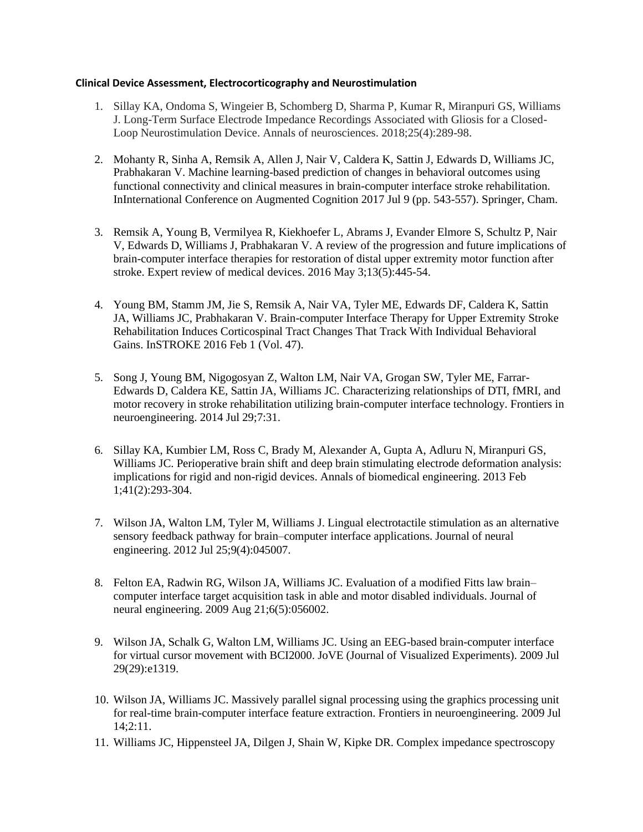## **Clinical Device Assessment, Electrocorticography and Neurostimulation**

- 1. Sillay KA, Ondoma S, Wingeier B, Schomberg D, Sharma P, Kumar R, Miranpuri GS, Williams J. Long-Term Surface Electrode Impedance Recordings Associated with Gliosis for a Closed-Loop Neurostimulation Device. Annals of neurosciences. 2018;25(4):289-98.
- 2. Mohanty R, Sinha A, Remsik A, Allen J, Nair V, Caldera K, Sattin J, Edwards D, Williams JC, Prabhakaran V. Machine learning-based prediction of changes in behavioral outcomes using functional connectivity and clinical measures in brain-computer interface stroke rehabilitation. InInternational Conference on Augmented Cognition 2017 Jul 9 (pp. 543-557). Springer, Cham.
- 3. Remsik A, Young B, Vermilyea R, Kiekhoefer L, Abrams J, Evander Elmore S, Schultz P, Nair V, Edwards D, Williams J, Prabhakaran V. A review of the progression and future implications of brain-computer interface therapies for restoration of distal upper extremity motor function after stroke. Expert review of medical devices. 2016 May 3;13(5):445-54.
- 4. Young BM, Stamm JM, Jie S, Remsik A, Nair VA, Tyler ME, Edwards DF, Caldera K, Sattin JA, Williams JC, Prabhakaran V. Brain-computer Interface Therapy for Upper Extremity Stroke Rehabilitation Induces Corticospinal Tract Changes That Track With Individual Behavioral Gains. InSTROKE 2016 Feb 1 (Vol. 47).
- 5. Song J, Young BM, Nigogosyan Z, Walton LM, Nair VA, Grogan SW, Tyler ME, Farrar-Edwards D, Caldera KE, Sattin JA, Williams JC. Characterizing relationships of DTI, fMRI, and motor recovery in stroke rehabilitation utilizing brain-computer interface technology. Frontiers in neuroengineering. 2014 Jul 29;7:31.
- 6. Sillay KA, Kumbier LM, Ross C, Brady M, Alexander A, Gupta A, Adluru N, Miranpuri GS, Williams JC. Perioperative brain shift and deep brain stimulating electrode deformation analysis: implications for rigid and non-rigid devices. Annals of biomedical engineering. 2013 Feb 1;41(2):293-304.
- 7. Wilson JA, Walton LM, Tyler M, Williams J. Lingual electrotactile stimulation as an alternative sensory feedback pathway for brain–computer interface applications. Journal of neural engineering. 2012 Jul 25;9(4):045007.
- 8. Felton EA, Radwin RG, Wilson JA, Williams JC. Evaluation of a modified Fitts law brain– computer interface target acquisition task in able and motor disabled individuals. Journal of neural engineering. 2009 Aug 21;6(5):056002.
- 9. Wilson JA, Schalk G, Walton LM, Williams JC. Using an EEG-based brain-computer interface for virtual cursor movement with BCI2000. JoVE (Journal of Visualized Experiments). 2009 Jul 29(29):e1319.
- 10. Wilson JA, Williams JC. Massively parallel signal processing using the graphics processing unit for real-time brain-computer interface feature extraction. Frontiers in neuroengineering. 2009 Jul 14;2:11.
- 11. Williams JC, Hippensteel JA, Dilgen J, Shain W, Kipke DR. Complex impedance spectroscopy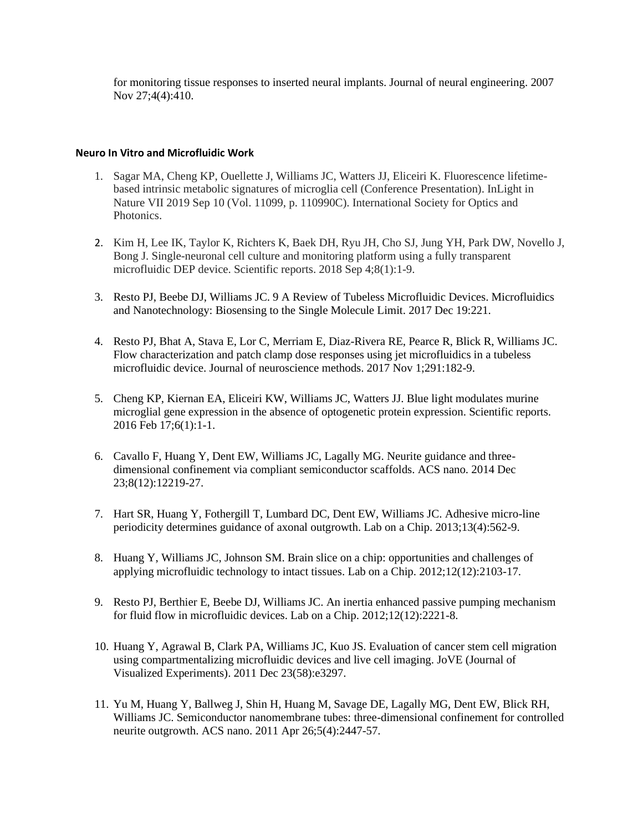for monitoring tissue responses to inserted neural implants. Journal of neural engineering. 2007 Nov 27;4(4):410.

## **Neuro In Vitro and Microfluidic Work**

- 1. Sagar MA, Cheng KP, Ouellette J, Williams JC, Watters JJ, Eliceiri K. Fluorescence lifetimebased intrinsic metabolic signatures of microglia cell (Conference Presentation). InLight in Nature VII 2019 Sep 10 (Vol. 11099, p. 110990C). International Society for Optics and Photonics.
- 2. Kim H, Lee IK, Taylor K, Richters K, Baek DH, Ryu JH, Cho SJ, Jung YH, Park DW, Novello J, Bong J. Single-neuronal cell culture and monitoring platform using a fully transparent microfluidic DEP device. Scientific reports. 2018 Sep 4;8(1):1-9.
- 3. Resto PJ, Beebe DJ, Williams JC. 9 A Review of Tubeless Microfluidic Devices. Microfluidics and Nanotechnology: Biosensing to the Single Molecule Limit. 2017 Dec 19:221.
- 4. Resto PJ, Bhat A, Stava E, Lor C, Merriam E, Diaz-Rivera RE, Pearce R, Blick R, Williams JC. Flow characterization and patch clamp dose responses using jet microfluidics in a tubeless microfluidic device. Journal of neuroscience methods. 2017 Nov 1;291:182-9.
- 5. Cheng KP, Kiernan EA, Eliceiri KW, Williams JC, Watters JJ. Blue light modulates murine microglial gene expression in the absence of optogenetic protein expression. Scientific reports. 2016 Feb 17;6(1):1-1.
- 6. Cavallo F, Huang Y, Dent EW, Williams JC, Lagally MG. Neurite guidance and threedimensional confinement via compliant semiconductor scaffolds. ACS nano. 2014 Dec 23;8(12):12219-27.
- 7. Hart SR, Huang Y, Fothergill T, Lumbard DC, Dent EW, Williams JC. Adhesive micro-line periodicity determines guidance of axonal outgrowth. Lab on a Chip. 2013;13(4):562-9.
- 8. Huang Y, Williams JC, Johnson SM. Brain slice on a chip: opportunities and challenges of applying microfluidic technology to intact tissues. Lab on a Chip. 2012;12(12):2103-17.
- 9. Resto PJ, Berthier E, Beebe DJ, Williams JC. An inertia enhanced passive pumping mechanism for fluid flow in microfluidic devices. Lab on a Chip. 2012;12(12):2221-8.
- 10. Huang Y, Agrawal B, Clark PA, Williams JC, Kuo JS. Evaluation of cancer stem cell migration using compartmentalizing microfluidic devices and live cell imaging. JoVE (Journal of Visualized Experiments). 2011 Dec 23(58):e3297.
- 11. Yu M, Huang Y, Ballweg J, Shin H, Huang M, Savage DE, Lagally MG, Dent EW, Blick RH, Williams JC. Semiconductor nanomembrane tubes: three-dimensional confinement for controlled neurite outgrowth. ACS nano. 2011 Apr 26;5(4):2447-57.